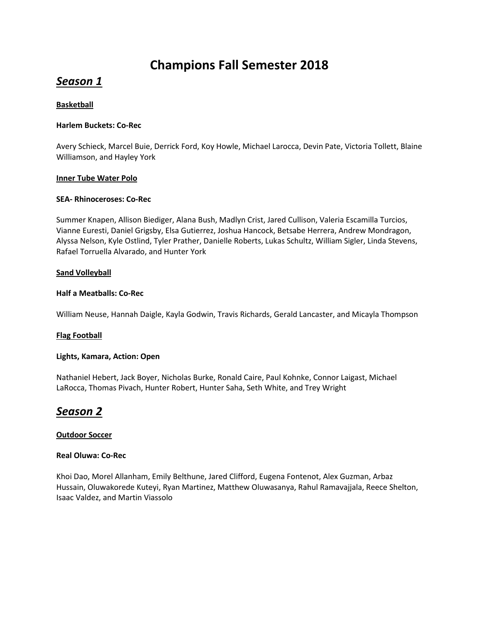# **Champions Fall Semester 2018**

# *Season 1*

# **Basketball**

# **Harlem Buckets: Co-Rec**

Avery Schieck, Marcel Buie, Derrick Ford, Koy Howle, Michael Larocca, Devin Pate, Victoria Tollett, Blaine Williamson, and Hayley York

# **Inner Tube Water Polo**

# **SEA- Rhinoceroses: Co-Rec**

Summer Knapen, Allison Biediger, Alana Bush, Madlyn Crist, Jared Cullison, Valeria Escamilla Turcios, Vianne Euresti, Daniel Grigsby, Elsa Gutierrez, Joshua Hancock, Betsabe Herrera, Andrew Mondragon, Alyssa Nelson, Kyle Ostlind, Tyler Prather, Danielle Roberts, Lukas Schultz, William Sigler, Linda Stevens, Rafael Torruella Alvarado, and Hunter York

# **Sand Volleyball**

# **Half a Meatballs: Co-Rec**

William Neuse, Hannah Daigle, Kayla Godwin, Travis Richards, Gerald Lancaster, and Micayla Thompson

# **Flag Football**

#### **Lights, Kamara, Action: Open**

Nathaniel Hebert, Jack Boyer, Nicholas Burke, Ronald Caire, Paul Kohnke, Connor Laigast, Michael LaRocca, Thomas Pivach, Hunter Robert, Hunter Saha, Seth White, and Trey Wright

# *Season 2*

# **Outdoor Soccer**

#### **Real Oluwa: Co-Rec**

Khoi Dao, Morel Allanham, Emily Belthune, Jared Clifford, Eugena Fontenot, Alex Guzman, Arbaz Hussain, Oluwakorede Kuteyi, Ryan Martinez, Matthew Oluwasanya, Rahul Ramavajjala, Reece Shelton, Isaac Valdez, and Martin Viassolo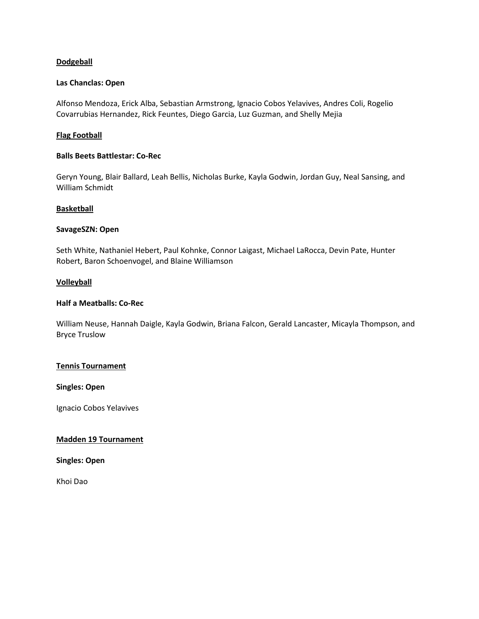# **Dodgeball**

#### **Las Chanclas: Open**

Alfonso Mendoza, Erick Alba, Sebastian Armstrong, Ignacio Cobos Yelavives, Andres Coli, Rogelio Covarrubias Hernandez, Rick Feuntes, Diego Garcia, Luz Guzman, and Shelly Mejia

# **Flag Football**

#### **Balls Beets Battlestar: Co-Rec**

Geryn Young, Blair Ballard, Leah Bellis, Nicholas Burke, Kayla Godwin, Jordan Guy, Neal Sansing, and William Schmidt

#### **Basketball**

#### **SavageSZN: Open**

Seth White, Nathaniel Hebert, Paul Kohnke, Connor Laigast, Michael LaRocca, Devin Pate, Hunter Robert, Baron Schoenvogel, and Blaine Williamson

#### **Volleyball**

# **Half a Meatballs: Co-Rec**

William Neuse, Hannah Daigle, Kayla Godwin, Briana Falcon, Gerald Lancaster, Micayla Thompson, and Bryce Truslow

#### **Tennis Tournament**

#### **Singles: Open**

Ignacio Cobos Yelavives

#### **Madden 19 Tournament**

#### **Singles: Open**

Khoi Dao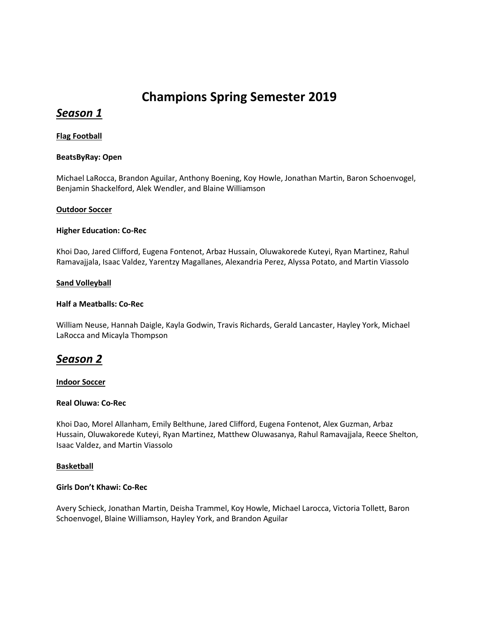# **Champions Spring Semester 2019**

# *Season 1*

# **Flag Football**

# **BeatsByRay: Open**

Michael LaRocca, Brandon Aguilar, Anthony Boening, Koy Howle, Jonathan Martin, Baron Schoenvogel, Benjamin Shackelford, Alek Wendler, and Blaine Williamson

# **Outdoor Soccer**

# **Higher Education: Co-Rec**

Khoi Dao, Jared Clifford, Eugena Fontenot, Arbaz Hussain, Oluwakorede Kuteyi, Ryan Martinez, Rahul Ramavajjala, Isaac Valdez, Yarentzy Magallanes, Alexandria Perez, Alyssa Potato, and Martin Viassolo

#### **Sand Volleyball**

# **Half a Meatballs: Co-Rec**

William Neuse, Hannah Daigle, Kayla Godwin, Travis Richards, Gerald Lancaster, Hayley York, Michael LaRocca and Micayla Thompson

# *Season 2*

#### **Indoor Soccer**

#### **Real Oluwa: Co-Rec**

Khoi Dao, Morel Allanham, Emily Belthune, Jared Clifford, Eugena Fontenot, Alex Guzman, Arbaz Hussain, Oluwakorede Kuteyi, Ryan Martinez, Matthew Oluwasanya, Rahul Ramavajjala, Reece Shelton, Isaac Valdez, and Martin Viassolo

#### **Basketball**

#### **Girls Don't Khawi: Co-Rec**

Avery Schieck, Jonathan Martin, Deisha Trammel, Koy Howle, Michael Larocca, Victoria Tollett, Baron Schoenvogel, Blaine Williamson, Hayley York, and Brandon Aguilar